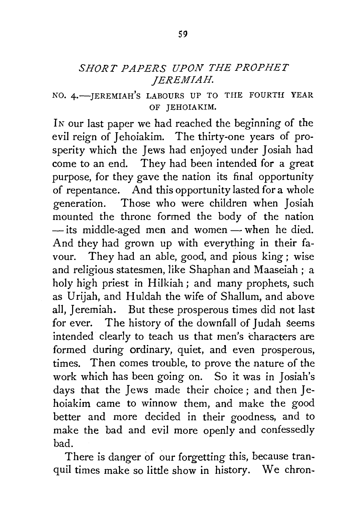## *SHORT PAPERS UPON THE PROPHET JEREMIAH.*

## NO. 4.-JEREMIAH'S LABOURS UP TO THE FOURTH YEAR OF JEHOIAKIM.

IN our last paper we had reached the beginning of the evil reign of Jehoiakim. The thirty-one years of prosperity which the Jews had enjoyed under Josiah had come to an end. They had been intended for a great purpose, for they gave the nation its final opportunity of repentance. And this opportunity lasted for a whole generation. Those who were children when Josiah mounted the throne formed the body of the nation - its middle-aged men and women - when he died. And they had grown up with everything in their favour. They had an able, good, and pious king ; wise and religious statesmen, like Shaphan and Maaseiah ; a holy high priest in Hilkiah ; and many prophets, such as Urijah, and Huldah the wife of Shallum, and above all, Jeremiah. But these prosperous times did not last for ever. The history of the downfall of Judah seems intended clearly to teach us that men's characters are formed during ordinary, quiet, and even prosperous, times. Then comes trouble, to prove the nature of the work which has been going on. So it was in Josiah's days that the Jews made their choice; and then Jehoiakim came to winnow them, and make the good better and more decided in their goodness, and to make the bad and evil more openly and confessedly bad.

There is danger of our forgetting this, because tranquil times make so little show in history. We chron-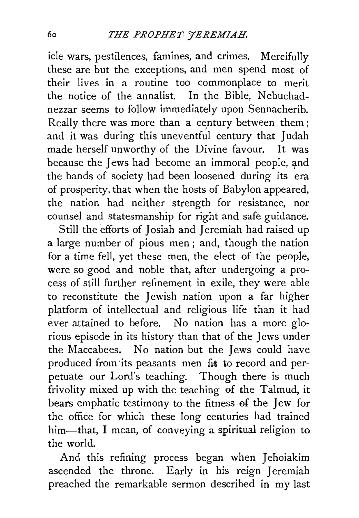icle wars, pestilences, famines, and crimes. Mercifully these are but the exceptions, and men spend most of their lives in a routine too commonplace to merit the notice of the annalist. In the Bible, Nebuchadnezzar seems to follow immediately upon Sennacherib. Really there was more than a century between them; and it was during this uneventful century that Judah made herself unworthy of the Divine favour. It was because the Jews had become an immoral people, and the bands of society had been loosened during its era of prosperity, that when the hosts of Babylon appeared, the nation had neither strength for resistance, nor counsel and statesmanship for right and safe guidance.

Still the efforts of Josiah and Jeremiah had raised up a large number of pious men ; and, though the nation for a time fell, yet these men, the elect of the peopfe, were so good and noble that, after undergoing a process of still further refinement in exile, they were able to reconstitute the Jewish nation upon a far higher platform of intellectual and religious life than it had ever attained to before. No nation has a more glorious episode in its history than that of the Jews under the Maccabees. No nation but the Jews could have produced from its peasants men fit to record and perpetuate our Lord's teaching. Though there is much frivolity mixed up with the teaching 0f the Talmud, it bears emphatic testimony to the fitness 0f the Jew for the office for which these long centuries had trained him—that, I mean, of conveying a spiritual religion to the world.

And this refining process began when Jehoiakim ascended the throne. Early in his reign Jeremiah preached the remarkable sermon described in my last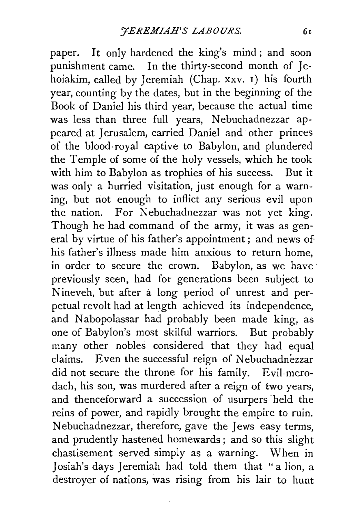paper. It only hardened the king's mind; and soon punishment came. In the thirty-second month of Jehoiakim, called by Jeremiah (Chap. xxv. 1) his fourth year, counting by the dates, but in the beginning of the Book of Daniel his third year, because the actual time was less than three full years, Nebuchadnezzar appeared at Jerusalem, carried Daniel and other princes of the blood-royal captive to Babylon, and plundered the Temple of some of the holy vessels, which he took with him to Babylon as trophies of his success. But it was only a hurried visitation, just enough for a warning, but not enough to inflict any serious evil upon the nation. For Nebuchadnezzar was not yet king. Though he had command of the army, it was as general by virtue of his father's appointment; and news of his father's illness made him anxious to return home. in order to secure the crown. Babylon, as we have previously seen, had for generations been subject to Nineveh, but after a long period of unrest and perpetual revolt had at length achieved its independence, and Nabopolassar had probably been made king, as one of Babylon's most skilful warriors. But probably many other nobles considered that they had equal claims. Even the successful reign of Nebuchadnezzar did not secure the throne for his family. Evil-merodach, his son, was murdered after a reign of two years, and thenceforward a succession of usurpers "held the reins of power, and rapidly brought the empire to ruin. Nebuchadnezzar, therefore, gave the Jews easy terms, and prudently hastened homewards ; and so this slight chastisement served simply as a warning. When in Josiah's days Jeremiah had told them that "a lion, a destroyer of nations, was rising from his lair to hunt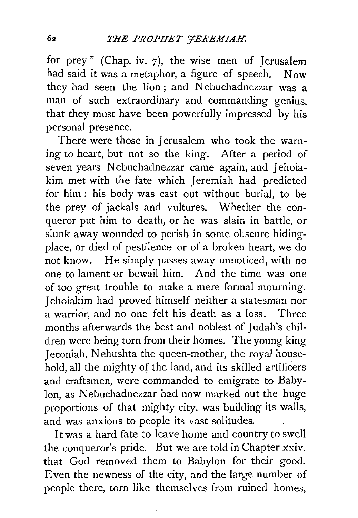for prey" (Chap. iv. 7), the wise men of Jerusalem had said it was a metaphor, a figure of speech. Now they had seen the lion; and Nebuchadnezzar was a man of such extraordinary and commanding genius, that they must have been powerfully impressed by his personal presence.

There were those in Jerusalem who took the warning to heart, but not so the king. After a period of seven years Nebuchadnezzar came again, and Jehoiakim met with the fate which Jeremiah had predicted for him : his body was cast out without burial, to be the prey of jackals and vultures. Whether the conqueror put him to death, or he was slain in battle, or slunk away wounded to perish in some obscure hidingplace, or died of pestilence or of a broken heart, we do not know. He simply passes away unnoticed, with no one to lament or bewail him. And the time was one of too great trouble to make a mere formal mourning. Jehoiakim had proved himself neither a statesman nor a warrior, and no one felt his death as a loss. Three months afterwards the best and noblest of Judah's children were being torn from their homes. The young king Jeconiah, Nehushta the queen-mother, the royal household, all the mighty of the land, and its skilled artificers and craftsmen, were commanded to emigrate to Babylon, as Nebuchadnezzar had now marked out the huge proportions of that mighty city, was building its walls, and was anxious to people its vast solitudes.

It was a hard fate to leave home and country to swell the conqueror's pride. But we are told in Chapter xxiv. that God removed them to Babylon for their good. Even the newness of the city, and the large number of people there, torn like themselves from ruined homes,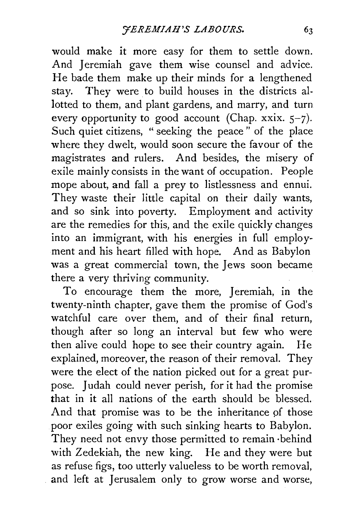would make it more easy for them to settle down. And Jeremiah gave them wise counsel and advice. He bade them make up their minds for a lengthened stay. They were to build houses in the districts allotted to them, and plant gardens, and marry, and turn every opportunity to good account (Chap. xxix.  $5-7$ ). Such quiet citizens, "seeking the peace" of the place where they dwelt, would soon secure the favour of the magistrates and rulers. And besides, the misery of exile mainly consists in the want of occupation. People mope about, and fall a prey to listlessness and ennui. They waste their little capital on their daily wants, and so sink into poverty. Employment and activity are the remedies for this, and the exile quickly changes into an immigrant, with his energies in full employment and his heart filled with hope. And as Babylon was a great commercial town, the Jews soon became there a very thriving community.

To encourage them the more, Jeremiah, in the twenty-ninth chapter, gave them the promise of God's watchful care over them, and of their final return, though after so long an interval but few who were then alive could hope to see their country again. He explained, moreover, the reason of their removal. They were the elect of the nation picked out for a great purpose. Judah could never perish, for it had the promise that in it all nations of the earth should be blessed. And that promise was to be the inheritance of those poor exiles going with such sinking hearts to Babylon. They need not envy those permitted to remain · behind with Zedekiah, the new king. He and they were but as refuse figs, too utterly valueless to be worth removal, and left at Jerusalem only to grow worse and worse,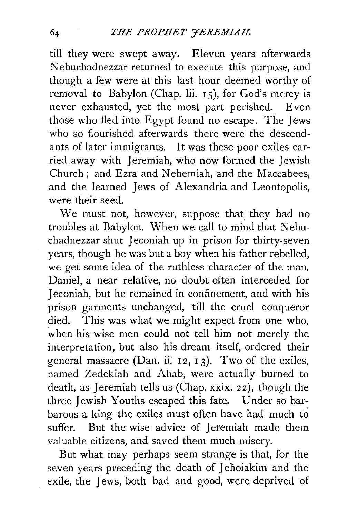till they were swept away. Eleven years afterwards Nebuchadnezzar returned to execute this purpose, and though a few were at this last hour deemed worthy of removal to Babylon (Chap. lii. I 5), for God's mercy is never exhausted, yet the most part perished. Even those who fled into Egypt found no escape. The Jews who so flourished afterwards there were the descendants of later immigrants. It was these poor exiles carried away with Jeremiah, who now formed the Jewish Church; and Ezra and Nehemiah, and the Maccabees, and the learned Jews of Alexandria and Leontopolis, were their seed.

We must not, however, suppose that they had no troubles at Babylon. When we call to mind that Nebuchadnezzar shut Jeconiah up in prison for thirty-seven years, though he was but a boy when his father rebelled, we get some idea of the ruthless character of the man. Daniel, a near relative, no doubt often interceded for Jeconiah, but he remained in confinement, and with his prison garments unchanged, till the cruel conqueror died. This was what we might expect from one who, when his wise men could not tell him not merely the interpretation, but also his dream itself, ordered their general massacre (Dan. ii.  $12, 13$ ). Two of the exiles, named Zedekiah and Ahab, were actually burned to death, as Jeremiah tells us (Chap. xxix. 2 2), though the three Jewish Youths escaped this fate. Under so barbarous a king the exiles must often have had much to suffer. But the wise advice of Jeremiah made them valuable citizens, and saved them much misery.

But what may perhaps seem strange is that, for the seven years preceding the death of Jehoiakim and the exile, the Jews, both bad and good, were deprived of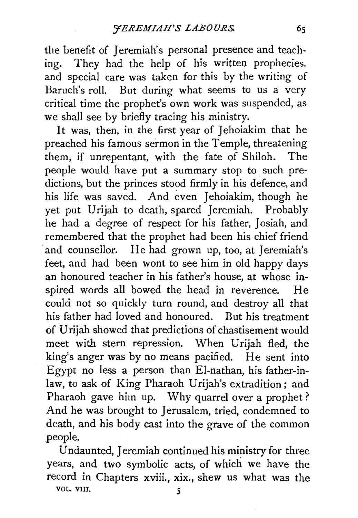the benefit of Jeremiah's personal presence and teaching. They had the help of his written prophecies, and special care was taken for this by the writing of Baruch's roll. But during what seems to us a very critical time the prophet's own work was suspended, as we shall see by briefly tracing his ministry.

It was, then, in the first year of Jehoiakim that he preached his famous sermon in the Temple, threatening them, if unrepentant, with the fate of Shiloh. The people would have put a summary stop to such predictions, but the princes stood firmly in his defence, and his life was saved. And even Jehoiakim, though he yet put Urijah to death, spared Jeremiah. Probably he had a degree of respect for his father, Josiah, and remembered that the prophet had been his chief friend and counsellor. He had grown up, too, at Jeremiah's feet, and had been wont to see him in old happy days an honoured teacher in his father's house, at whose inspired words all bowed the head in reverence. He could not so quickly turn round, and destroy all that his father had loved and honoured. But his treatment of Urijah showed that predictions of chastisement would meet with stern repression. When Urijah fled, the king's anger was by no means pacified. He sent into Egypt no less a person than El-nathan, his father-inlaw, to ask of King Pharaoh Urijah's extradition; and Pharaoh gave him up. Why quarrel over a prophet? And he was brought to Jerusalem, tried, condemned to death, and his body cast into the grave of the common people.

Undaunted, Jeremiah continued his ministry for three years, and two symbolic acts, of which we have the record in Chapters xviii., xix., shew us what was the VOL. VIII. 5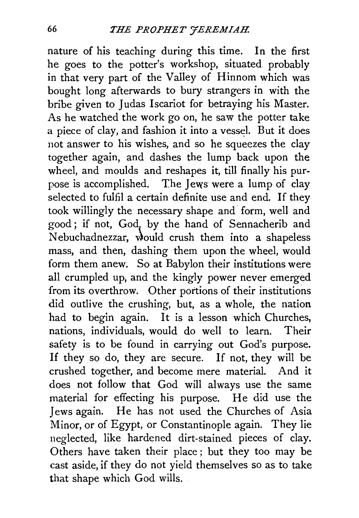nature of his teaching during this time. In the first he goes to the potter's workshop, situated probably in that very part of the Valley of Hinnom which was bought long afterwards to bury strangers in with the bribe given to Judas Iscariot for betraying his Master. As he watched the work go on, he saw the potter take a piece of clay, and fashion it into a vessel. But it does not answer to his wishes, and so he squeezes the clay together again, and dashes the lump back upon the wheel, and moulds and reshapes it, till finally his purpose is accomplished. The Jews were a lump of clay selected to fulfil a certain definite use and end. If they took willingly the necessary shape and form, well and good; if not, God, by the hand of Sennacherib and Nebuchadnezzar, would crush them into a shapeless mass, and then, dashing them upon the wheel, would form them anew. So at Babylon their institutions were all crumpled up, and the kingly power never emerged from its overthrow. Other portions of their institutions did outlive the crushing, but, as a whole, the nation had to begin again. It is a lesson which Churches, nations, individuals, would do well to learn. Their safety is to be found in carrying out God's purpose. If they so do, they are secure. If not, they will be crushed together, and become mere material. And it does not follow that God will always use the same material for effecting his purpose. He did use the Jews again. He has not used the Churches of Asia Minor, or of Egypt, or Constantinople again. They lie neglected, like hardened dirt-stained pieces of clay. Others have taken their place ; but they too may be cast aside, if they do not yield themselves so as to take that shape which God wills.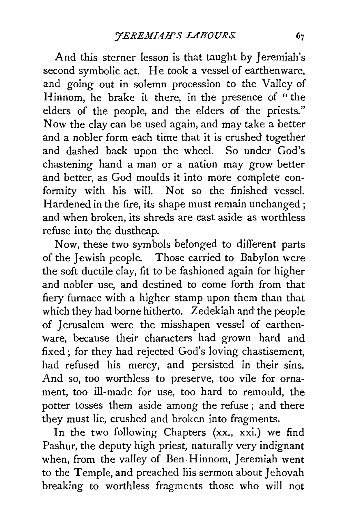And this sterner lesson is that taught by Jeremiah's second symbolic act. He took a vessel of earthenware, and going out in solemn procession to the Valley of Hinnom, he brake it there, in the presence of "the elders of the people, and the elders of the priests." Now the clay can be used again, and may take a better and a nobler form each time that it is crushed together and dashed back upon the wheel. So under God's chastening hand a man or a nation may grow better and better, as God moulds it into more complete conformity with his will. Not so the finished vessel. Hardened in the fire, its shape must remain unchanged ; and when broken, its shreds are cast aside as worthless refuse into the dustheap.

Now, these two symbols belonged to different parts of the Jewish people. Those carried to Babylon were the soft ductile clay, fit to be fashioned again for higher and nobler use, and destined to come forth from that fiery furnace with a higher stamp upon them than that which they had borne hitherto. Zedekiah and the people of Jerusalem were the misshapen vessel of earthenware, because their characters had grown hard and fixed; for they had rejected God's loving chastisement, had refused his mercy, and persisted in their sins. And so, too worthless to preserve, too vile for ornament, too ill-made for use, too hard to remould, the potter tosses them aside among the refuse ; and there they must lie, crushed and broken into fragments.

In the two following Chapters (xx., xxi.) we find Pashur, the deputy high priest, naturally very indignant when, from the valley of Ben-Hinnom, Jeremiah went to the Temple, and preached his sermon about Jehovah breaking to worthless fragments those who will not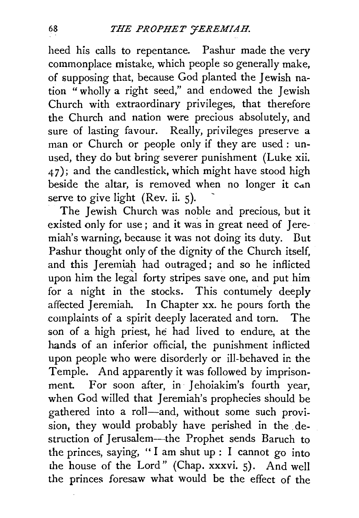heed his calls to repentance. Pashur made the very commonplace mistake, which people so generally make, of supposing that, because God planted the Jewish nation " wholly a right seed," and endowed the Jewish Church with extraordinary privileges, that therefore the Church and nation were precious absolutely, and sure of lasting favour. Really, privileges preserve a man or Church or people only if they are used: unused, they do but bring severer punishment (Luke xii.  $(47)$ ; and the candlestick, which might have stood high beside the altar, is removed when no longer it can serve to give light (Rev. ii.  $5$ ).

The Jewish Church was noble and precious, but it existed only for use; and it was in great need of Jeremiah's warning, because it was not doing its duty. But Pashur thought only of the dignity of the Church itself, and this Jeremiah had outraged; and so he inflicted upon him the legal forty stripes save one, and put him for a night in the stocks. This contumely deeply affected Jeremiah. In Chapter xx. he pours forth the complaints of a spirit deeply lacerated and torn. The son of a high priest, he had lived to endure, at the hands of an inferior official, the punishment inflicted upon people who were disorderly or ill-behaved in the Temple. And apparently it was followed by imprisonment. For soon after, in 1ehoiakim's fourth year, when God willed that Jeremiah's prophecies should be gathered into a roll-and, without some such provision, they would probably have perished in the destruction of Jerusalem---the Prophet sends Baruch to the princes, saying, " I am shut up : I cannot go into rhe house of the Lord" (Chap. xxxvi. 5). And well the princes foresaw what would be the effect of the